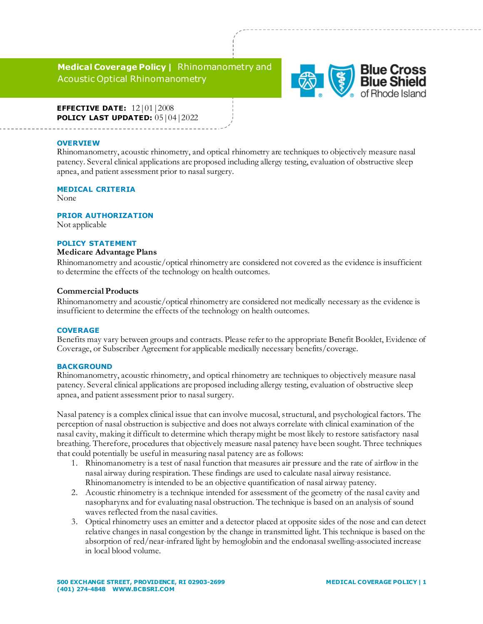**Medical Coverage Policy |** Rhinomanometry and Acoustic Optical Rhinomanometry



**EFFECTIVE DATE:** 12|01|2008 **POLICY LAST UPDATED:**  $05|04|2022$ 

### **OVERVIEW**

Rhinomanometry, acoustic rhinometry, and optical rhinometry are techniques to objectively measure nasal patency. Several clinical applications are proposed including allergy testing, evaluation of obstructive sleep apnea, and patient assessment prior to nasal surgery.

# **MEDICAL CRITERIA**

None

#### **PRIOR AUTHORIZATION**

Not applicable

# **POLICY STATEMENT**

#### **Medicare Advantage Plans**

Rhinomanometry and acoustic/optical rhinometry are considered not covered as the evidence is insufficient to determine the effects of the technology on health outcomes.

## **Commercial Products**

Rhinomanometry and acoustic/optical rhinometry are considered not medically necessary as the evidence is insufficient to determine the effects of the technology on health outcomes.

#### **COVERAGE**

Benefits may vary between groups and contracts. Please refer to the appropriate Benefit Booklet, Evidence of Coverage, or Subscriber Agreement for applicable medically necessary benefits/coverage.

## **BACKGROUND**

Rhinomanometry, acoustic rhinometry, and optical rhinometry are techniques to objectively measure nasal patency. Several clinical applications are proposed including allergy testing, evaluation of obstructive sleep apnea, and patient assessment prior to nasal surgery.

Nasal patency is a complex clinical issue that can involve mucosal, structural, and psychological factors. The perception of nasal obstruction is subjective and does not always correlate with clinical examination of the nasal cavity, making it difficult to determine which therapy might be most likely to restore satisfactory nasal breathing. Therefore, procedures that objectively measure nasal patency have been sought. Three techniques that could potentially be useful in measuring nasal patency are as follows:

- 1. Rhinomanometry is a test of nasal function that measures air pressure and the rate of airflow in the nasal airway during respiration. These findings are used to calculate nasal airway resistance. Rhinomanometry is intended to be an objective quantification of nasal airway patency.
- 2. Acoustic rhinometry is a technique intended for assessment of the geometry of the nasal cavity and nasopharynx and for evaluating nasal obstruction. The technique is based on an analysis of sound waves reflected from the nasal cavities.
- 3. Optical rhinometry uses an emitter and a detector placed at opposite sides of the nose and can detect relative changes in nasal congestion by the change in transmitted light. This technique is based on the absorption of red/near-infrared light by hemoglobin and the endonasal swelling-associated increase in local blood volume.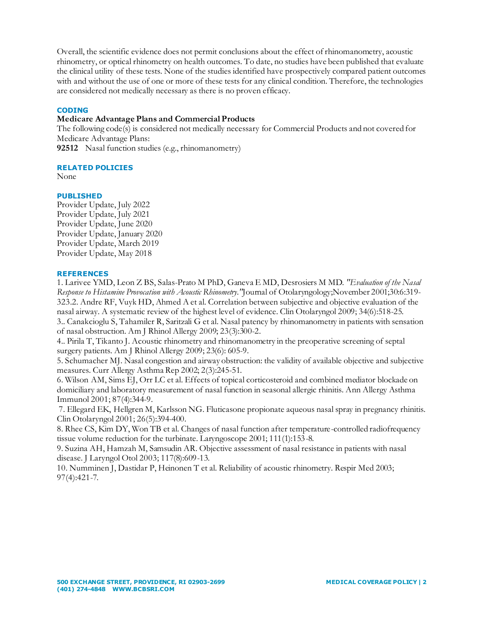Overall, the scientific evidence does not permit conclusions about the effect of rhinomanometry, acoustic rhinometry, or optical rhinometry on health outcomes. To date, no studies have been published that evaluate the clinical utility of these tests. None of the studies identified have prospectively compared patient outcomes with and without the use of one or more of these tests for any clinical condition. Therefore, the technologies are considered not medically necessary as there is no proven efficacy.

# **CODING**

# **Medicare Advantage Plans and Commercial Products**

The following code(s) is considered not medically necessary for Commercial Products and not covered for Medicare Advantage Plans:

**[92512](javascript:cptPopup()** Nasal function studies (e.g., rhinomanometry)

# **RELATED POLICIES**

None

# **PUBLISHED**

Provider Update, July 2022 Provider Update, July 2021 Provider Update, June 2020 Provider Update, January 2020 Provider Update, March 2019 Provider Update, May 2018

# **REFERENCES**

1. Larivee YMD, Leon Z BS, Salas-Prato M PhD, Ganeva E MD, Desrosiers M MD. *"Evaluation of the Nasal Response to Histamine Provocation with Acoustic Rhinometry."*Journal of Otolaryngology;November 2001;30:6:319- 323.2. Andre RF, Vuyk HD, Ahmed A et al. Correlation between subjective and objective evaluation of the nasal airway. A systematic review of the highest level of evidence. Clin Otolaryngol 2009; 34(6):518-25. 3.. Canakcioglu S, Tahamiler R, Saritzali G et al. Nasal patency by rhinomanometry in patients with sensation of nasal obstruction. Am J Rhinol Allergy 2009; 23(3):300-2.

4.. Pirila T, Tikanto J. Acoustic rhinometry and rhinomanometry in the preoperative screening of septal surgery patients. Am J Rhinol Allergy 2009; 23(6): 605-9.

5. Schumacher MJ. Nasal congestion and airway obstruction: the validity of available objective and subjective measures. Curr Allergy Asthma Rep 2002; 2(3):245-51.

6. Wilson AM, Sims EJ, Orr LC et al. Effects of topical corticosteroid and combined mediator blockade on domiciliary and laboratory measurement of nasal function in seasonal allergic rhinitis. Ann Allergy Asthma Immunol 2001; 87(4):344-9.

7. Ellegard EK, Hellgren M, Karlsson NG. Fluticasone propionate aqueous nasal spray in pregnancy rhinitis. Clin Otolaryngol 2001; 26(5):394-400.

8. Rhee CS, Kim DY, Won TB et al. Changes of nasal function after temperature-controlled radiofrequency tissue volume reduction for the turbinate. Laryngoscope 2001; 111(1):153-8.

9. Suzina AH, Hamzah M, Samsudin AR. Objective assessment of nasal resistance in patients with nasal disease. J Laryngol Otol 2003; 117(8):609-13.

10. Numminen J, Dastidar P, Heinonen T et al. Reliability of acoustic rhinometry. Respir Med 2003; 97(4):421-7.